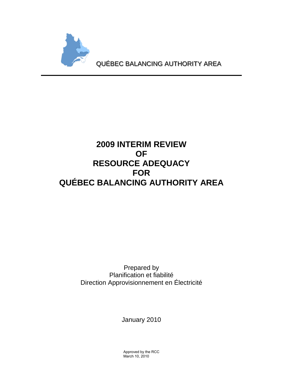

# **2009 INTERIM REVIEW OF RESOURCE ADEQUACY FOR QUÉBEC BALANCING AUTHORITY AREA**

Prepared by Planification et fiabilité Direction Approvisionnement en Électricité

January 2010

Approved by the RCC March 10, 2010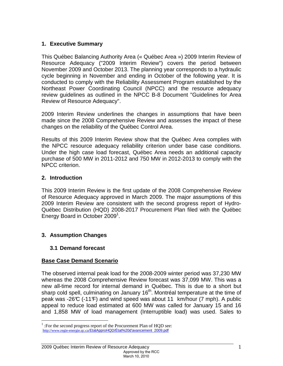# **1. Executive Summary**

This Québec Balancing Authority Area (« Québec Area ») 2009 Interim Review of Resource Adequacy ("2009 Interim Review") covers the period between November 2009 and October 2013. The planning year corresponds to a hydraulic cycle beginning in November and ending in October of the following year. It is conducted to comply with the Reliability Assessment Program established by the Northeast Power Coordinating Council (NPCC) and the resource adequacy review guidelines as outlined in the NPCC B-8 Document "Guidelines for Area Review of Resource Adequacy".

2009 Interim Review underlines the changes in assumptions that have been made since the 2008 Comprehensive Review and assesses the impact of these changes on the reliability of the Québec Control Area.

Results of this 2009 Interim Review show that the Québec Area complies with the NPCC resource adequacy reliability criterion under base case conditions. Under the high case load forecast, Québec Area needs an additional capacity purchase of 500 MW in 2011-2012 and 750 MW in 2012-2013 to comply with the NPCC criterion.

# **2. Introduction**

This 2009 Interim Review is the first update of the 2008 Comprehensive Review of Resource Adequacy approved in March 2009. The major assumptions of this 2009 Interim Review are consistent with the second progress report of Hydro-Québec Distribution (HQD) 2008-2017 Procurement Plan filed with the Québec Energy Board in October 2009<sup>1</sup>.

# **3. Assumption Changes**

# **3.1 Demand forecast**

# **Base Case Demand Scenario**

The observed internal peak load for the 2008-2009 winter period was 37,230 MW whereas the 2008 Comprehensive Review forecast was 37,099 MW. This was a new all-time record for internal demand in Québec. This is due to a short but sharp cold spell, culminating on January  $16<sup>th</sup>$ . Montréal temperature at the time of peak was -26°C (-11°F) and wind speed was about 11 km/hour (7 mph). A public appeal to reduce load estimated at 600 MW was called for January 15 and 16 and 1,858 MW of load management (Interruptible load) was used. Sales to

<sup>&</sup>lt;sup>1</sup>: For the second progress report of the Procurement Plan of HQD see: http://www.regie-energie.qc.ca/EtatApproHQD/État%20d'avancement\_2009.pdf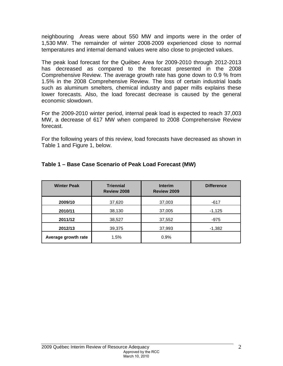neighbouring Areas were about 550 MW and imports were in the order of 1,530 MW. The remainder of winter 2008‐2009 experienced close to normal temperatures and internal demand values were also close to projected values.

The peak load forecast for the Québec Area for 2009-2010 through 2012-2013 has decreased as compared to the forecast presented in the 2008 Comprehensive Review. The average growth rate has gone down to 0.9 % from 1.5% in the 2008 Comprehensive Review. The loss of certain industrial loads such as aluminum smelters, chemical industry and paper mills explains these lower forecasts. Also, the load forecast decrease is caused by the general economic slowdown.

For the 2009-2010 winter period, internal peak load is expected to reach 37,003 MW, a decrease of 617 MW when compared to 2008 Comprehensive Review forecast.

For the following years of this review, load forecasts have decreased as shown in Table 1 and Figure 1, below.

| <b>Winter Peak</b>  | <b>Triennial</b><br>Review 2008 | <b>Interim</b><br>Review 2009 | <b>Difference</b> |
|---------------------|---------------------------------|-------------------------------|-------------------|
| 2009/10             | 37,620                          | 37,003                        | $-617$            |
| 2010/11             | 38,130                          | 37,005                        | $-1,125$          |
| 2011/12             | 38,527                          | 37,552                        | -975              |
| 2012/13             | 39,375                          | 37,993                        | $-1,382$          |
| Average growth rate | 1.5%                            | 0.9%                          |                   |

#### **Table 1 – Base Case Scenario of Peak Load Forecast (MW)**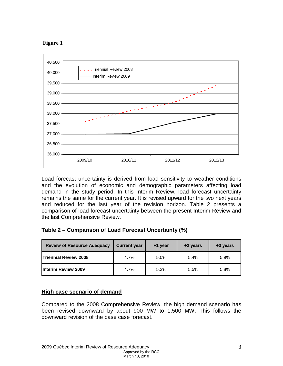



Load forecast uncertainty is derived from load sensitivity to weather conditions and the evolution of economic and demographic parameters affecting load demand in the study period. In this Interim Review, load forecast uncertainty remains the same for the current year. It is revised upward for the two next years and reduced for the last year of the revision horizon. Table 2 presents a comparison of load forecast uncertainty between the present Interim Review and the last Comprehensive Review.

|  |  |  |  | Table 2 – Comparison of Load Forecast Uncertainty (%) |
|--|--|--|--|-------------------------------------------------------|
|--|--|--|--|-------------------------------------------------------|

| <b>Review of Resource Adequacy</b> | <b>Current year</b> | +1 year | +2 years | +3 years |
|------------------------------------|---------------------|---------|----------|----------|
| <b>Triennial Review 2008</b>       | 4.7%                | 5.0%    | 5.4%     | 5.9%     |
| <b>Interim Review 2009</b>         | 4.7%                | 5.2%    | 5.5%     | 5.8%     |

# **High case scenario of demand**

Compared to the 2008 Comprehensive Review, the high demand scenario has been revised downward by about 900 MW to 1,500 MW. This follows the downward revision of the base case forecast.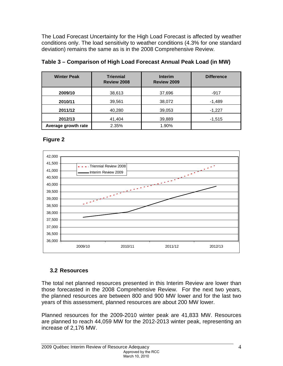The Load Forecast Uncertainty for the High Load Forecast is affected by weather conditions only. The load sensitivity to weather conditions (4.3% for one standard deviation) remains the same as is in the 2008 Comprehensive Review.

| <b>Winter Peak</b>  | <b>Triennial</b><br><b>Interim</b><br><b>Review 2008</b><br>Review 2009 |        | <b>Difference</b> |
|---------------------|-------------------------------------------------------------------------|--------|-------------------|
| 2009/10             | 38,613                                                                  | 37,696 | $-917$            |
| 2010/11             | 39,561                                                                  | 38,072 | $-1,489$          |
| 2011/12             | 40,280                                                                  | 39,053 | $-1,227$          |
| 2012/13             | 41,404                                                                  | 39,889 | $-1,515$          |
| Average growth rate | 2.35%                                                                   | 1.90%  |                   |

# **Table 3 – Comparison of High Load Forecast Annual Peak Load (in MW)**

# **Figure 2**



# **3.2 Resources**

The total net planned resources presented in this Interim Review are lower than those forecasted in the 2008 Comprehensive Review. For the next two years, the planned resources are between 800 and 900 MW lower and for the last two years of this assessment, planned resources are about 200 MW lower.

Planned resources for the 2009-2010 winter peak are 41,833 MW. Resources are planned to reach 44,059 MW for the 2012-2013 winter peak, representing an increase of 2,176 MW.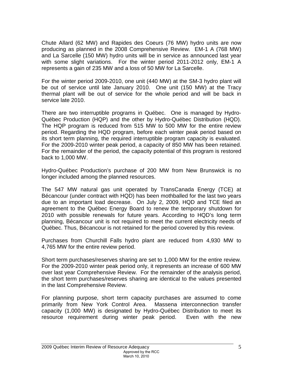Chute Allard (62 MW) and Rapides des Coeurs (76 MW) hydro units are now producing as planned in the 2008 Comprehensive Review. EM-1 A (768 MW) and La Sarcelle (150 MW) hydro units will be in service as announced last year with some slight variations. For the winter period 2011-2012 only, EM-1 A represents a gain of 235 MW and a loss of 50 MW for La Sarcelle.

For the winter period 2009-2010, one unit (440 MW) at the SM-3 hydro plant will be out of service until late January 2010. One unit (150 MW) at the Tracy thermal plant will be out of service for the whole period and will be back in service late 2010.

There are two interruptible programs in Québec. One is managed by Hydro-Québec Production (HQP) and the other by Hydro-Québec Distribution (HQD). The HQP program is reduced from 515 MW to 500 MW for the entire review period. Regarding the HQD program, before each winter peak period based on its short term planning, the required interruptible program capacity is evaluated. For the 2009-2010 winter peak period, a capacity of 850 MW has been retained. For the remainder of the period, the capacity potential of this program is restored back to 1,000 MW.

Hydro-Québec Production's purchase of 200 MW from New Brunswick is no longer included among the planned resources.

The 547 MW natural gas unit operated by TransCanada Energy (TCE) at Bécancour (under contract with HQD) has been mothballed for the last two years due to an important load decrease. On July 2, 2009, HQD and TCE filed an agreement to the Québec Energy Board to renew the temporary shutdown for 2010 with possible renewals for future years. According to HQD's long term planning, Bécancour unit is not required to meet the current electricity needs of Québec. Thus, Bécancour is not retained for the period covered by this review.

Purchases from Churchill Falls hydro plant are reduced from 4,930 MW to 4,765 MW for the entire review period.

Short term purchases/reserves sharing are set to 1,000 MW for the entire review. For the 2009-2010 winter peak period only, it represents an increase of 600 MW over last year Comprehensive Review. For the remainder of the analysis period, the short term purchases/reserves sharing are identical to the values presented in the last Comprehensive Review.

For planning purpose, short term capacity purchases are assumed to come primarily from New York Control Area. Massena interconnection transfer capacity (1,000 MW) is designated by Hydro-Québec Distribution to meet its resource requirement during winter peak period. Even with the new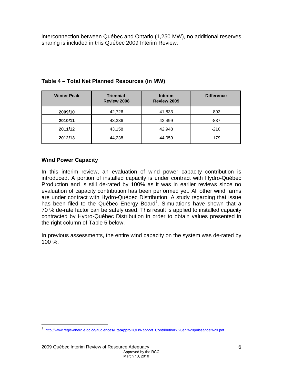interconnection between Québec and Ontario (1,250 MW), no additional reserves sharing is included in this Québec 2009 Interim Review.

| <b>Winter Peak</b> | <b>Triennial</b><br>Review 2008 | <b>Interim</b><br>Review 2009 | <b>Difference</b> |
|--------------------|---------------------------------|-------------------------------|-------------------|
| 2009/10            | 42,726                          | 41,833                        | -893              |
| 2010/11            | 43,336                          | 42,499                        | -837              |
| 2011/12            | 43,158                          | 42,948                        | $-210$            |
| 2012/13            | 44,238                          | 44,059                        | $-179$            |

#### **Table 4 – Total Net Planned Resources (in MW)**

#### **Wind Power Capacity**

 $\overline{a}$ 

In this interim review, an evaluation of wind power capacity contribution is introduced. A portion of installed capacity is under contract with Hydro-Québec Production and is still de-rated by 100% as it was in earlier reviews since no evaluation of capacity contribution has been performed yet. All other wind farms are under contract with Hydro-Québec Distribution. A study regarding that issue has been filed to the Québec Energy Board<sup>2</sup>. Simulations have shown that a 70 % de-rate factor can be safely used. This result is applied to installed capacity contracted by Hydro-Québec Distribution in order to obtain values presented in the right column of Table 5 below.

In previous assessments, the entire wind capacity on the system was de-rated by 100 %.

<sup>&</sup>lt;sup>2</sup> http://www.regie-energie.qc.ca/audiences/EtatApproHQD/Rapport\_Contribution%20en%20puissance%20.pdf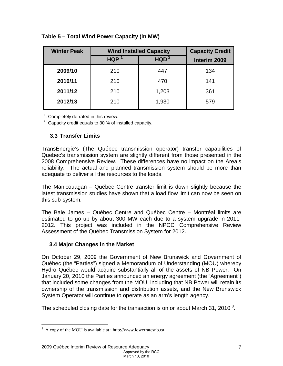| <b>Winter Peak</b> | <b>Wind Installed Capacity</b> | <b>Capacity Credit</b> |              |
|--------------------|--------------------------------|------------------------|--------------|
|                    | <b>HQP</b><br>HQD <sup>2</sup> |                        | Interim 2009 |
| 2009/10            | 210                            | 447                    | 134          |
| 2010/11            | 210                            | 470                    | 141          |
| 2011/12            | 210                            | 1,203                  | 361          |
| 2012/13            | 210                            | 1,930                  | 579          |

#### **Table 5 – Total Wind Power Capacity (in MW)**

 $1$ : Completely de-rated in this review.

 $2^{2}$ : Capacity credit equals to 30 % of installed capacity.

# **3.3 Transfer Limits**

TransÉnergie's (The Québec transmission operator) transfer capabilities of Quebec's transmission system are slightly different from those presented in the 2008 Comprehensive Review. These differences have no impact on the Area's reliability. The actual and planned transmission system should be more than adequate to deliver all the resources to the loads.

The Manicouagan – Québec Centre transfer limit is down slightly because the latest transmission studies have shown that a load flow limit can now be seen on this sub-system.

The Baie James – Québec Centre and Québec Centre – Montréal limits are estimated to go up by about 300 MW each due to a system upgrade in 2011- 2012. This project was included in the NPCC Comprehensive Review Assessment of the Québec Transmission System for 2012.

#### **3.4 Major Changes in the Market**

On October 29, 2009 the Government of New Brunswick and Government of Québec (the "Parties") signed a Memorandum of Understanding (MOU) whereby Hydro Québec would acquire substantially all of the assets of NB Power. On January 20, 2010 the Parties announced an energy agreement (the "Agreement") that included some changes from the MOU, including that NB Power will retain its ownership of the transmission and distribution assets, and the New Brunswick System Operator will continue to operate as an arm's length agency.

The scheduled closing date for the transaction is on or about March 31, 2010<sup>3</sup>.

<sup>&</sup>lt;u>.</u>  $3 \text{ A copy of the MOU is available at : http://www.lowerratesnb.ca.}$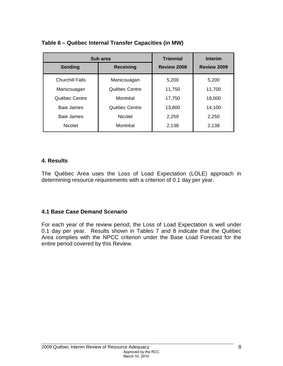|                        | Sub area                | <b>Triennial</b>   | <b>Interim</b> |
|------------------------|-------------------------|--------------------|----------------|
| <b>Sending</b>         | <b>Receiving</b>        | <b>Review 2008</b> | Review 2009    |
| <b>Churchill Falls</b> | Manicouagan             | 5,200              | 5,200          |
| Manicouagan            | Québec Centre           | 11,750             | 11,700         |
| Québec Centre          | Montréal                | 17,750             | 18,000         |
| Baie James             | Québec Centre           | 13,800             | 14,100         |
| Baie James             | <b>Nicolet</b><br>2,250 |                    | 2,250          |
| <b>Nicolet</b>         | Montréal                | 2,138              | 2,138          |

# **Table 6 – Québec Internal Transfer Capacities (in MW)**

#### **4. Results**

The Québec Area uses the Loss of Load Expectation (LOLE) approach in determining resource requirements with a criterion of 0.1 day per year.

#### **4.1 Base Case Demand Scenario**

For each year of the review period, the Loss of Load Expectation is well under 0.1 day per year. Results shown in Tables 7 and 8 indicate that the Québec Area complies with the NPCC criterion under the Base Load Forecast for the entire period covered by this Review.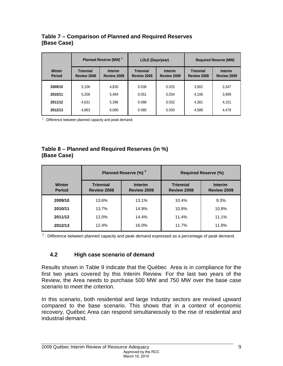#### **Table 7 – Comparison of Planned and Required Reserves (Base Case)**

|                         | Planned Reserve (MW) <sup>1</sup> |                               | LOLE (Days/year)                |                               |                                 | <b>Required Reserve (MW)</b>  |
|-------------------------|-----------------------------------|-------------------------------|---------------------------------|-------------------------------|---------------------------------|-------------------------------|
| Winter<br><b>Period</b> | <b>Triennial</b><br>Review 2008   | <b>Interim</b><br>Review 2009 | <b>Triennial</b><br>Review 2008 | <b>Interim</b><br>Review 2009 | <b>Triennial</b><br>Review 2008 | <b>Interim</b><br>Review 2009 |
| 2009/10                 | 5.106                             | 4.830                         | 0.038                           | 0.025                         | 3.902                           | 3,347                         |
| 2010/11                 | 5.206                             | 5.494                         | 0.051                           | 0.034                         | 4,106                           | 3,999                         |
| 2011/12                 | 4.631                             | 5,396                         | 0.088                           | 0.032                         | 4,381                           | 4,151                         |
| 2012/13                 | 4,863                             | 6,066                         | 0.080                           | 0.030                         | 4,588                           | 4,478                         |

 $1$  : Difference between planned capacity and peak demand.

# **Table 8 – Planned and Required Reserves (in %) (Base Case)**

|                         | Planned Reserve (%) <sup>2</sup>       |                               |                                 | <b>Required Reserve (%)</b>   |
|-------------------------|----------------------------------------|-------------------------------|---------------------------------|-------------------------------|
| Winter<br><b>Period</b> | <b>Triennial</b><br><b>Review 2008</b> | <b>Interim</b><br>Review 2009 | <b>Triennial</b><br>Review 2008 | <b>Interim</b><br>Review 2009 |
| 2009/10                 | 13.6%                                  | 13.1%                         | 10.4%                           | 9.3%                          |
| 2010/11                 | 13.7%                                  | 14.9%                         | 10.8%                           | 10.8%                         |
| 2011/12                 | 12.0%                                  | 14.4%                         | 11.4%                           | 11.1%                         |
| 2012/13                 | 12.4%                                  | 16.0%                         | 11.7%                           | 11.8%                         |

 $2$  : Difference between planned capacity and peak demand expressed as a percentage of peak demand.

#### **4.2 High case scenario of demand**

Results shown in Table 9 indicate that the Québec Area is in compliance for the first two years covered by this Interim Review. For the last two years of the Review, the Area needs to purchase 500 MW and 750 MW over the base case scenario to meet the criterion.

In this scenario, both residential and large Industry sectors are revised upward compared to the base scenario. This shows that in a context of economic recovery, Québec Area can respond simultaneously to the rise of residential and industrial demand.